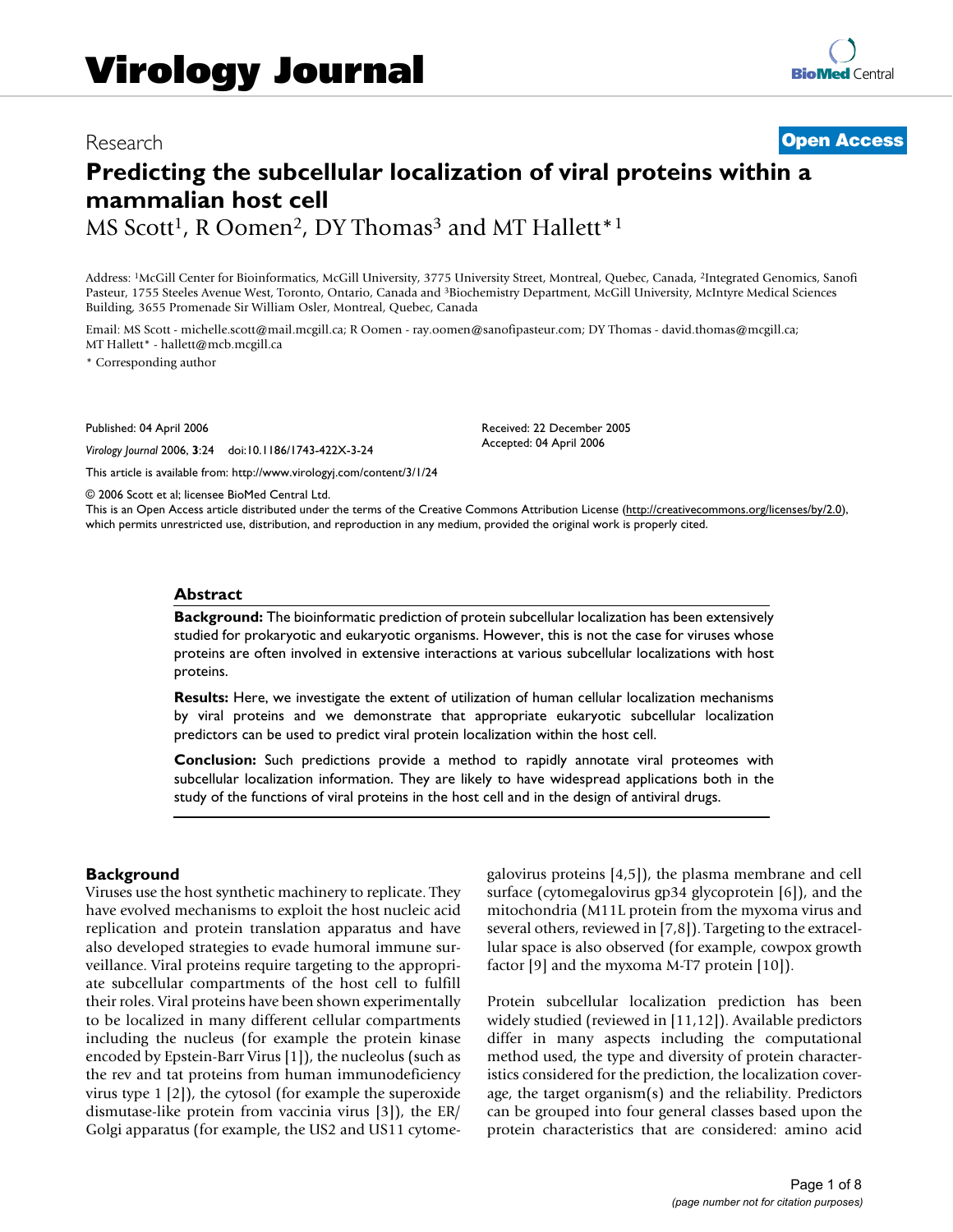## Research **[Open Access](http://www.biomedcentral.com/info/about/charter/)**

# **Predicting the subcellular localization of viral proteins within a mammalian host cell**

MS Scott<sup>1</sup>, R Oomen<sup>2</sup>, DY Thomas<sup>3</sup> and MT Hallett<sup>\*1</sup>

Address: 1McGill Center for Bioinformatics, McGill University, 3775 University Street, Montreal, Quebec, Canada, 2Integrated Genomics, Sanofi Pasteur, 1755 Steeles Avenue West, Toronto, Ontario, Canada and 3Biochemistry Department, McGill University, McIntyre Medical Sciences Building, 3655 Promenade Sir William Osler, Montreal, Quebec, Canada

Email: MS Scott - michelle.scott@mail.mcgill.ca; R Oomen - ray.oomen@sanofipasteur.com; DY Thomas - david.thomas@mcgill.ca; MT Hallett\* - hallett@mcb.mcgill.ca

\* Corresponding author

Published: 04 April 2006

*Virology Journal* 2006, **3**:24 doi:10.1186/1743-422X-3-24

[This article is available from: http://www.virologyj.com/content/3/1/24](http://www.virologyj.com/content/3/1/24)

© 2006 Scott et al; licensee BioMed Central Ltd.

This is an Open Access article distributed under the terms of the Creative Commons Attribution License [\(http://creativecommons.org/licenses/by/2.0\)](http://creativecommons.org/licenses/by/2.0), which permits unrestricted use, distribution, and reproduction in any medium, provided the original work is properly cited.

Received: 22 December 2005 Accepted: 04 April 2006

#### **Abstract**

**Background:** The bioinformatic prediction of protein subcellular localization has been extensively studied for prokaryotic and eukaryotic organisms. However, this is not the case for viruses whose proteins are often involved in extensive interactions at various subcellular localizations with host proteins.

**Results:** Here, we investigate the extent of utilization of human cellular localization mechanisms by viral proteins and we demonstrate that appropriate eukaryotic subcellular localization predictors can be used to predict viral protein localization within the host cell.

**Conclusion:** Such predictions provide a method to rapidly annotate viral proteomes with subcellular localization information. They are likely to have widespread applications both in the study of the functions of viral proteins in the host cell and in the design of antiviral drugs.

#### **Background**

Viruses use the host synthetic machinery to replicate. They have evolved mechanisms to exploit the host nucleic acid replication and protein translation apparatus and have also developed strategies to evade humoral immune surveillance. Viral proteins require targeting to the appropriate subcellular compartments of the host cell to fulfill their roles. Viral proteins have been shown experimentally to be localized in many different cellular compartments including the nucleus (for example the protein kinase encoded by Epstein-Barr Virus [1]), the nucleolus (such as the rev and tat proteins from human immunodeficiency virus type 1 [2]), the cytosol (for example the superoxide dismutase-like protein from vaccinia virus [3]), the ER/ Golgi apparatus (for example, the US2 and US11 cytomegalovirus proteins [4,5]), the plasma membrane and cell surface (cytomegalovirus gp34 glycoprotein [6]), and the mitochondria (M11L protein from the myxoma virus and several others, reviewed in [7,8]). Targeting to the extracellular space is also observed (for example, cowpox growth factor [9] and the myxoma M-T7 protein [10]).

Protein subcellular localization prediction has been widely studied (reviewed in [11,12]). Available predictors differ in many aspects including the computational method used, the type and diversity of protein characteristics considered for the prediction, the localization coverage, the target organism(s) and the reliability. Predictors can be grouped into four general classes based upon the protein characteristics that are considered: amino acid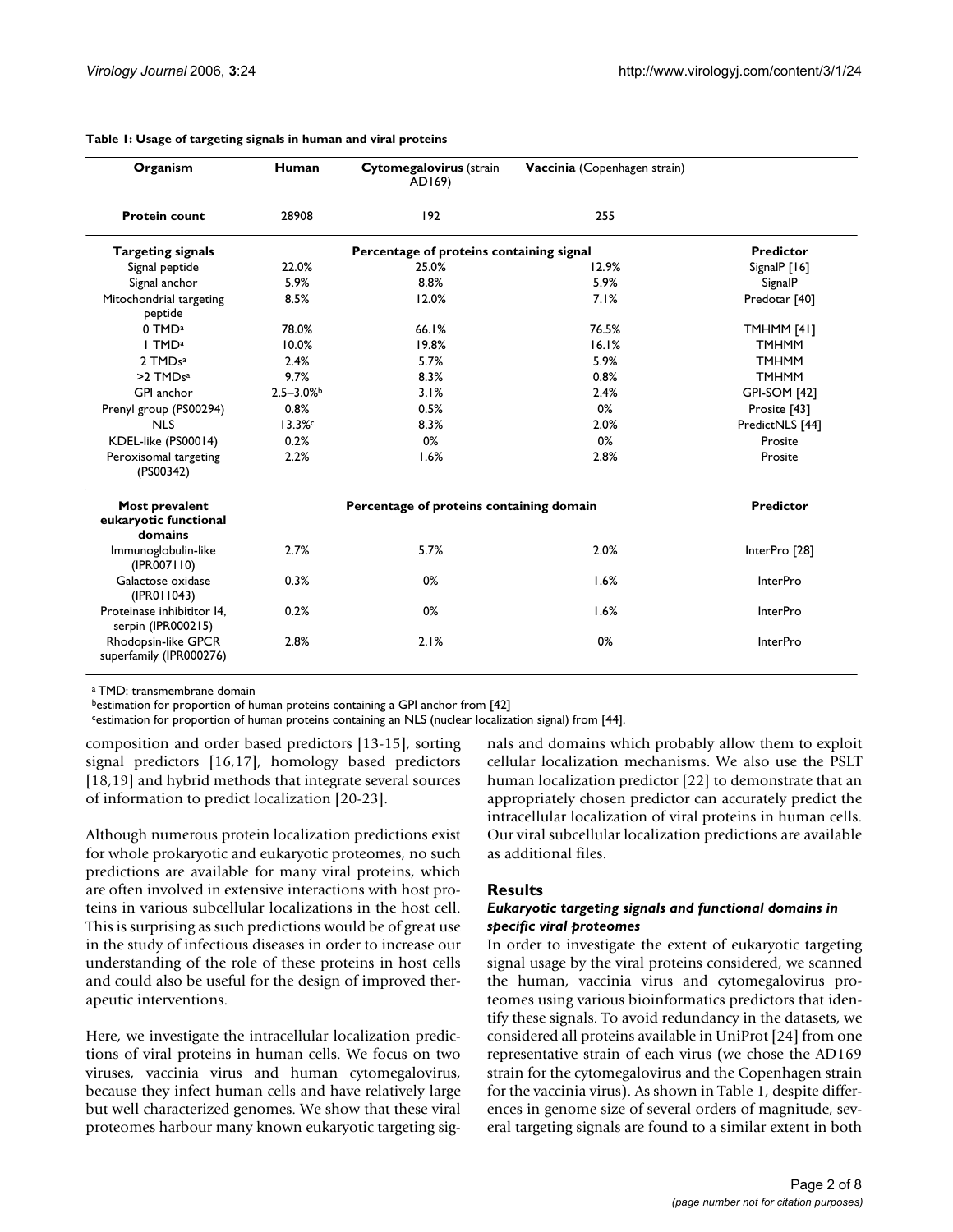| Organism                                           | Human        | Cytomegalovirus (strain<br>AD169)        | Vaccinia (Copenhagen strain) |                     |
|----------------------------------------------------|--------------|------------------------------------------|------------------------------|---------------------|
| <b>Protein count</b>                               | 28908        | 192                                      | 255                          |                     |
| <b>Targeting signals</b>                           |              | <b>Predictor</b>                         |                              |                     |
| Signal peptide                                     | 22.0%        | 25.0%                                    | 12.9%                        | SignalP $[16]$      |
| Signal anchor                                      | 5.9%         | 8.8%                                     | 5.9%                         | SignalP             |
| Mitochondrial targeting<br>peptide                 | 8.5%         | 12.0%                                    | 7.1%                         | Predotar [40]       |
| 0 TMD <sup>a</sup>                                 | 78.0%        | 66.1%                                    | 76.5%                        | TMHMM [41]          |
| I TMD <sup>a</sup>                                 | 10.0%        | 19.8%                                    | 16.1%                        | <b>TMHMM</b>        |
| 2 TMDsa                                            | 2.4%         | 5.7%                                     | 5.9%                         | <b>TMHMM</b>        |
| $>2$ TMDs <sup>a</sup>                             | 9.7%         | 8.3%                                     | 0.8%                         | <b>TMHMM</b>        |
| GPI anchor                                         | $2.5 - 3.0%$ | 3.1%                                     | 2.4%                         | <b>GPI-SOM [42]</b> |
| Prenyl group (PS00294)                             | 0.8%         | 0.5%                                     | 0%                           | Prosite [43]        |
| <b>NLS</b>                                         | 13.3%        | 8.3%                                     | 2.0%                         | PredictNLS [44]     |
| KDEL-like (PS00014)                                | 0.2%         | 0%                                       | 0%                           | Prosite             |
| Peroxisomal targeting<br>(PS00342)                 | 2.2%         | 1.6%                                     | 2.8%                         | Prosite             |
| Most prevalent<br>eukaryotic functional<br>domains |              | Percentage of proteins containing domain |                              | <b>Predictor</b>    |
| Immunoglobulin-like<br>(IPROO7110)                 | 2.7%         | 5.7%                                     | 2.0%                         | InterPro [28]       |
| Galactose oxidase<br>(IPROI 1043)                  | 0.3%         | 0%                                       | 1.6%                         | <b>InterPro</b>     |
| Proteinase inhibititor I4,<br>serpin (IPR000215)   | 0.2%         | 0%                                       | 1.6%                         | <b>InterPro</b>     |
| Rhodopsin-like GPCR<br>superfamily (IPR000276)     | 2.8%         | 2.1%                                     | 0%                           | <b>InterPro</b>     |

#### **Table 1: Usage of targeting signals in human and viral proteins**

a TMD: transmembrane domain

bestimation for proportion of human proteins containing a GPI anchor from [42]

cestimation for proportion of human proteins containing an NLS (nuclear localization signal) from [44].

composition and order based predictors [13-15], sorting signal predictors [16,17], homology based predictors [18,19] and hybrid methods that integrate several sources of information to predict localization [20-23].

Although numerous protein localization predictions exist for whole prokaryotic and eukaryotic proteomes, no such predictions are available for many viral proteins, which are often involved in extensive interactions with host proteins in various subcellular localizations in the host cell. This is surprising as such predictions would be of great use in the study of infectious diseases in order to increase our understanding of the role of these proteins in host cells and could also be useful for the design of improved therapeutic interventions.

Here, we investigate the intracellular localization predictions of viral proteins in human cells. We focus on two viruses, vaccinia virus and human cytomegalovirus, because they infect human cells and have relatively large but well characterized genomes. We show that these viral proteomes harbour many known eukaryotic targeting signals and domains which probably allow them to exploit cellular localization mechanisms. We also use the PSLT human localization predictor [22] to demonstrate that an appropriately chosen predictor can accurately predict the intracellular localization of viral proteins in human cells. Our viral subcellular localization predictions are available as additional files.

#### **Results**

#### *Eukaryotic targeting signals and functional domains in specific viral proteomes*

In order to investigate the extent of eukaryotic targeting signal usage by the viral proteins considered, we scanned the human, vaccinia virus and cytomegalovirus proteomes using various bioinformatics predictors that identify these signals. To avoid redundancy in the datasets, we considered all proteins available in UniProt [24] from one representative strain of each virus (we chose the AD169 strain for the cytomegalovirus and the Copenhagen strain for the vaccinia virus). As shown in Table 1, despite differences in genome size of several orders of magnitude, several targeting signals are found to a similar extent in both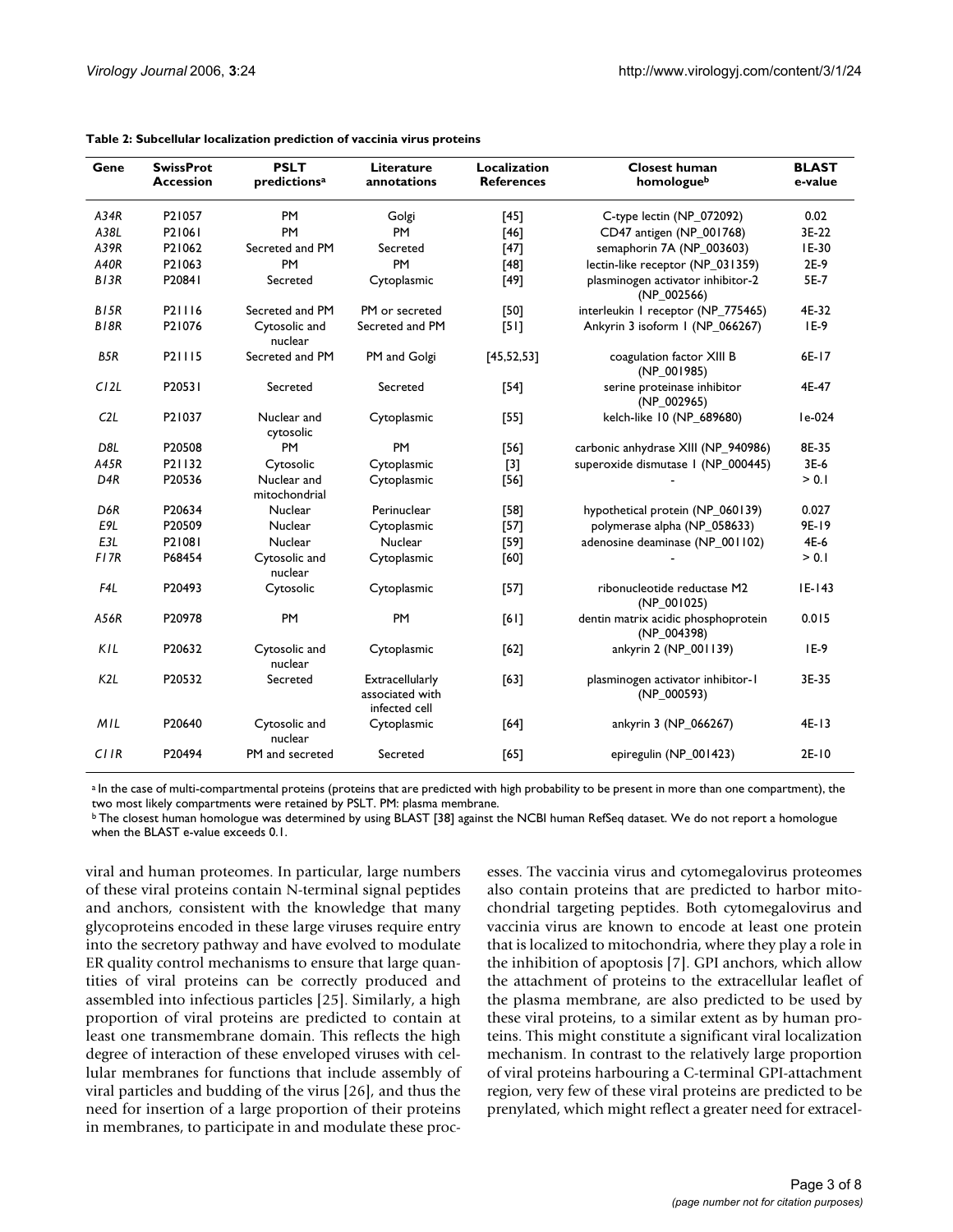| Gene             | <b>SwissProt</b><br>Accession | <b>PSLT</b><br>predictions <sup>a</sup> | Literature<br>annotations                           | Localization<br><b>References</b> | <b>Closest human</b><br>homologueb                 | <b>BLAST</b><br>e-value |
|------------------|-------------------------------|-----------------------------------------|-----------------------------------------------------|-----------------------------------|----------------------------------------------------|-------------------------|
| A34R             | P21057                        | <b>PM</b>                               | Golgi                                               | [45]                              | C-type lectin (NP_072092)                          | 0.02                    |
| A38L             | P21061                        | PM                                      | <b>PM</b>                                           | $[46]$                            | CD47 antigen (NP_001768)                           | 3E-22                   |
| A39R             | P21062                        | Secreted and PM                         | Secreted                                            | [47]                              | semaphorin 7A (NP_003603)                          | IE-30                   |
| <b>A40R</b>      | P21063                        | <b>PM</b>                               | PM                                                  | [48]                              | lectin-like receptor (NP_031359)                   | 2E-9                    |
| B/3R             | P20841                        | Secreted                                | Cytoplasmic                                         | $[49]$                            | plasminogen activator inhibitor-2<br>(NP_002566)   | 5E-7                    |
| B/5R             | P21116                        | Secreted and PM                         | PM or secreted                                      | [50]                              | interleukin I receptor (NP_775465)                 | 4E-32                   |
| B <sub>18R</sub> | P21076                        | Cytosolic and<br>nuclear                | Secreted and PM                                     | [5]                               | Ankyrin 3 isoform I (NP_066267)                    | $IE-9$                  |
| B5R              | P21115                        | Secreted and PM                         | PM and Golgi                                        | [45, 52, 53]                      | coagulation factor XIII B<br>$(NP_001985)$         | 6E-17                   |
| C12L             | P20531                        | Secreted                                | Secreted                                            | $[54]$                            | serine proteinase inhibitor<br>$(NP_002965)$       | 4E-47                   |
| C2L              | P21037                        | Nuclear and<br>cytosolic                | Cytoplasmic                                         | $[55]$                            | kelch-like 10 (NP_689680)                          | le-024                  |
| D <sub>8L</sub>  | P20508                        | <b>PM</b>                               | <b>PM</b>                                           | $[56]$                            | carbonic anhydrase XIII (NP_940986)                | 8E-35                   |
| A45R             | P21132                        | Cytosolic                               | Cytoplasmic                                         | $[3]$                             | superoxide dismutase I (NP_000445)                 | 3E-6                    |
| D <sub>4</sub> R | P20536                        | Nuclear and<br>mitochondrial            | Cytoplasmic                                         | $[56]$                            |                                                    | > 0.1                   |
| D6R              | P20634                        | Nuclear                                 | Perinuclear                                         | $[58]$                            | hypothetical protein (NP_060139)                   | 0.027                   |
| E9L              | P20509                        | Nuclear                                 | Cytoplasmic                                         | $[57]$                            | polymerase alpha (NP_058633)                       | 9E-19                   |
| E3L              | P21081                        | Nuclear                                 | Nuclear                                             | $[59]$                            | adenosine deaminase (NP_001102)                    | 4E-6                    |
| F <sub>17R</sub> | P68454                        | Cytosolic and<br>nuclear                | Cytoplasmic                                         | [60]                              |                                                    | > 0.1                   |
| F4L              | P <sub>20493</sub>            | Cytosolic                               | Cytoplasmic                                         | $[57]$                            | ribonucleotide reductase M2<br>$(NP_001025)$       | $E-143$                 |
| A56R             | P20978                        | <b>PM</b>                               | PM                                                  | [6]                               | dentin matrix acidic phosphoprotein<br>(NP_004398) | 0.015                   |
| KIL              | P20632                        | Cytosolic and<br>nuclear                | Cytoplasmic                                         | [62]                              | ankyrin 2 (NP_001139)                              | $IE-9$                  |
| K <sub>2</sub> L | P20532                        | Secreted                                | Extracellularly<br>associated with<br>infected cell | [63]                              | plasminogen activator inhibitor-1<br>(NP_000593)   | 3E-35                   |
| MIL              | P20640                        | Cytosolic and<br>nuclear                | Cytoplasmic                                         | [64]                              | ankyrin 3 (NP_066267)                              | $4E-13$                 |
| CIIR             | P20494                        | PM and secreted                         | Secreted                                            | $[65]$                            | epiregulin (NP_001423)                             | $2E-10$                 |

#### **Table 2: Subcellular localization prediction of vaccinia virus proteins**

a In the case of multi-compartmental proteins (proteins that are predicted with high probability to be present in more than one compartment), the two most likely compartments were retained by PSLT. PM: plasma membrane.

b The closest human homologue was determined by using BLAST [38] against the NCBI human RefSeq dataset. We do not report a homologue when the BLAST e-value exceeds 0.1.

viral and human proteomes. In particular, large numbers of these viral proteins contain N-terminal signal peptides and anchors, consistent with the knowledge that many glycoproteins encoded in these large viruses require entry into the secretory pathway and have evolved to modulate ER quality control mechanisms to ensure that large quantities of viral proteins can be correctly produced and assembled into infectious particles [25]. Similarly, a high proportion of viral proteins are predicted to contain at least one transmembrane domain. This reflects the high degree of interaction of these enveloped viruses with cellular membranes for functions that include assembly of viral particles and budding of the virus [26], and thus the need for insertion of a large proportion of their proteins in membranes, to participate in and modulate these processes. The vaccinia virus and cytomegalovirus proteomes also contain proteins that are predicted to harbor mitochondrial targeting peptides. Both cytomegalovirus and vaccinia virus are known to encode at least one protein that is localized to mitochondria, where they play a role in the inhibition of apoptosis [7]. GPI anchors, which allow the attachment of proteins to the extracellular leaflet of the plasma membrane, are also predicted to be used by these viral proteins, to a similar extent as by human proteins. This might constitute a significant viral localization mechanism. In contrast to the relatively large proportion of viral proteins harbouring a C-terminal GPI-attachment region, very few of these viral proteins are predicted to be prenylated, which might reflect a greater need for extracel-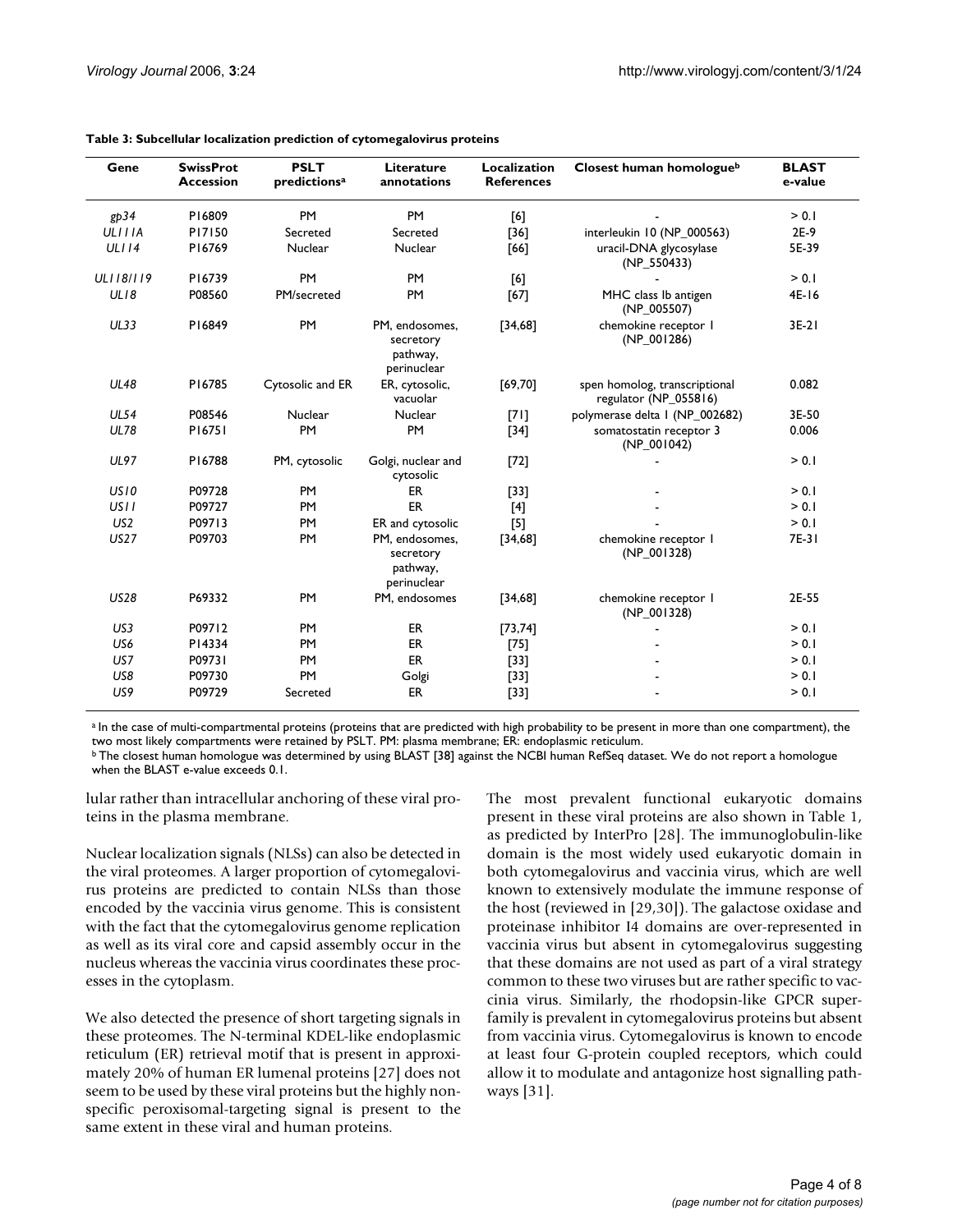| Gene             | <b>SwissProt</b><br><b>Accession</b> | <b>PSLT</b><br>predictions <sup>a</sup> | Literature<br>annotations                              | Localization<br><b>References</b> | Closest human homologueb                               | <b>BLAST</b><br>e-value |
|------------------|--------------------------------------|-----------------------------------------|--------------------------------------------------------|-----------------------------------|--------------------------------------------------------|-------------------------|
| gp34             | P16809                               | <b>PM</b>                               | <b>PM</b>                                              | [6]                               |                                                        | > 0.1                   |
| <b>ULIIIA</b>    | P17150                               | Secreted                                | Secreted                                               | $[36]$                            | interleukin 10 (NP_000563)                             | $2E-9$                  |
| ULII4            | P16769                               | Nuclear                                 | Nuclear                                                | $[66]$                            | uracil-DNA glycosylase<br>(NP_550433)                  | 5E-39                   |
| ULI18/119        | P16739                               | <b>PM</b>                               | <b>PM</b>                                              | [6]                               |                                                        | > 0.1                   |
| UL18             | P08560                               | PM/secreted                             | PM                                                     | [67]                              | MHC class Ib antigen<br>(NP_005507)                    | $4E-16$                 |
| <b>UL33</b>      | P16849                               | <b>PM</b>                               | PM, endosomes,<br>secretory<br>pathway,<br>perinuclear | [34,68]                           | chemokine receptor I<br>$(NP_001286)$                  | $3E-21$                 |
| <b>UL48</b>      | P16785                               | Cytosolic and ER                        | ER, cytosolic,<br>vacuolar                             | [69, 70]                          | spen homolog, transcriptional<br>regulator (NP_055816) | 0.082                   |
| <b>UL54</b>      | P08546                               | Nuclear                                 | Nuclear                                                | $[71]$                            | polymerase delta I (NP_002682)                         | 3E-50                   |
| <b>UL78</b>      | P16751                               | PM                                      | <b>PM</b>                                              | $[34]$                            | somatostatin receptor 3<br>$(NP_001042)$               | 0.006                   |
| <b>UL97</b>      | P16788                               | PM, cytosolic                           | Golgi, nuclear and<br>cytosolic                        | $[72]$                            |                                                        | > 0.1                   |
| US10             | P09728                               | <b>PM</b>                               | <b>ER</b>                                              | $[33]$                            |                                                        | > 0.1                   |
| US <sub>II</sub> | P09727                               | <b>PM</b>                               | <b>ER</b>                                              | $[4]$                             |                                                        | > 0.1                   |
| US <sub>2</sub>  | P09713                               | <b>PM</b>                               | ER and cytosolic                                       | $[5]$                             |                                                        | > 0.1                   |
| <b>US27</b>      | P09703                               | <b>PM</b>                               | PM, endosomes,<br>secretory<br>pathway,<br>perinuclear | [34,68]                           | chemokine receptor I<br>(NP_001328)                    | 7E-31                   |
| <b>US28</b>      | P69332                               | <b>PM</b>                               | PM, endosomes                                          | [34,68]                           | chemokine receptor I<br>$(NP_001328)$                  | 2E-55                   |
| US3              | P09712                               | <b>PM</b>                               | <b>ER</b>                                              | [73, 74]                          |                                                        | > 0.1                   |
| US6              | P14334                               | <b>PM</b>                               | ER                                                     | $[75]$                            |                                                        | > 0.1                   |
| US7              | P09731                               | <b>PM</b>                               | ER                                                     | $[33]$                            |                                                        | > 0.1                   |
| US8              | P09730                               | PM                                      | Golgi                                                  | $[33]$                            |                                                        | > 0.1                   |
| US9              | P09729                               | Secreted                                | <b>ER</b>                                              | $[33]$                            |                                                        | > 0.1                   |

#### **Table 3: Subcellular localization prediction of cytomegalovirus proteins**

a In the case of multi-compartmental proteins (proteins that are predicted with high probability to be present in more than one compartment), the two most likely compartments were retained by PSLT. PM: plasma membrane; ER: endoplasmic reticulum.

<sup>b</sup> The closest human homologue was determined by using BLAST [38] against the NCBI human RefSeq dataset. We do not report a homologue when the BLAST e-value exceeds 0.1.

lular rather than intracellular anchoring of these viral proteins in the plasma membrane.

Nuclear localization signals (NLSs) can also be detected in the viral proteomes. A larger proportion of cytomegalovirus proteins are predicted to contain NLSs than those encoded by the vaccinia virus genome. This is consistent with the fact that the cytomegalovirus genome replication as well as its viral core and capsid assembly occur in the nucleus whereas the vaccinia virus coordinates these processes in the cytoplasm.

We also detected the presence of short targeting signals in these proteomes. The N-terminal KDEL-like endoplasmic reticulum (ER) retrieval motif that is present in approximately 20% of human ER lumenal proteins [27] does not seem to be used by these viral proteins but the highly nonspecific peroxisomal-targeting signal is present to the same extent in these viral and human proteins.

The most prevalent functional eukaryotic domains present in these viral proteins are also shown in Table 1, as predicted by InterPro [28]. The immunoglobulin-like domain is the most widely used eukaryotic domain in both cytomegalovirus and vaccinia virus, which are well known to extensively modulate the immune response of the host (reviewed in [29,30]). The galactose oxidase and proteinase inhibitor I4 domains are over-represented in vaccinia virus but absent in cytomegalovirus suggesting that these domains are not used as part of a viral strategy common to these two viruses but are rather specific to vaccinia virus. Similarly, the rhodopsin-like GPCR superfamily is prevalent in cytomegalovirus proteins but absent from vaccinia virus. Cytomegalovirus is known to encode at least four G-protein coupled receptors, which could allow it to modulate and antagonize host signalling pathways [31].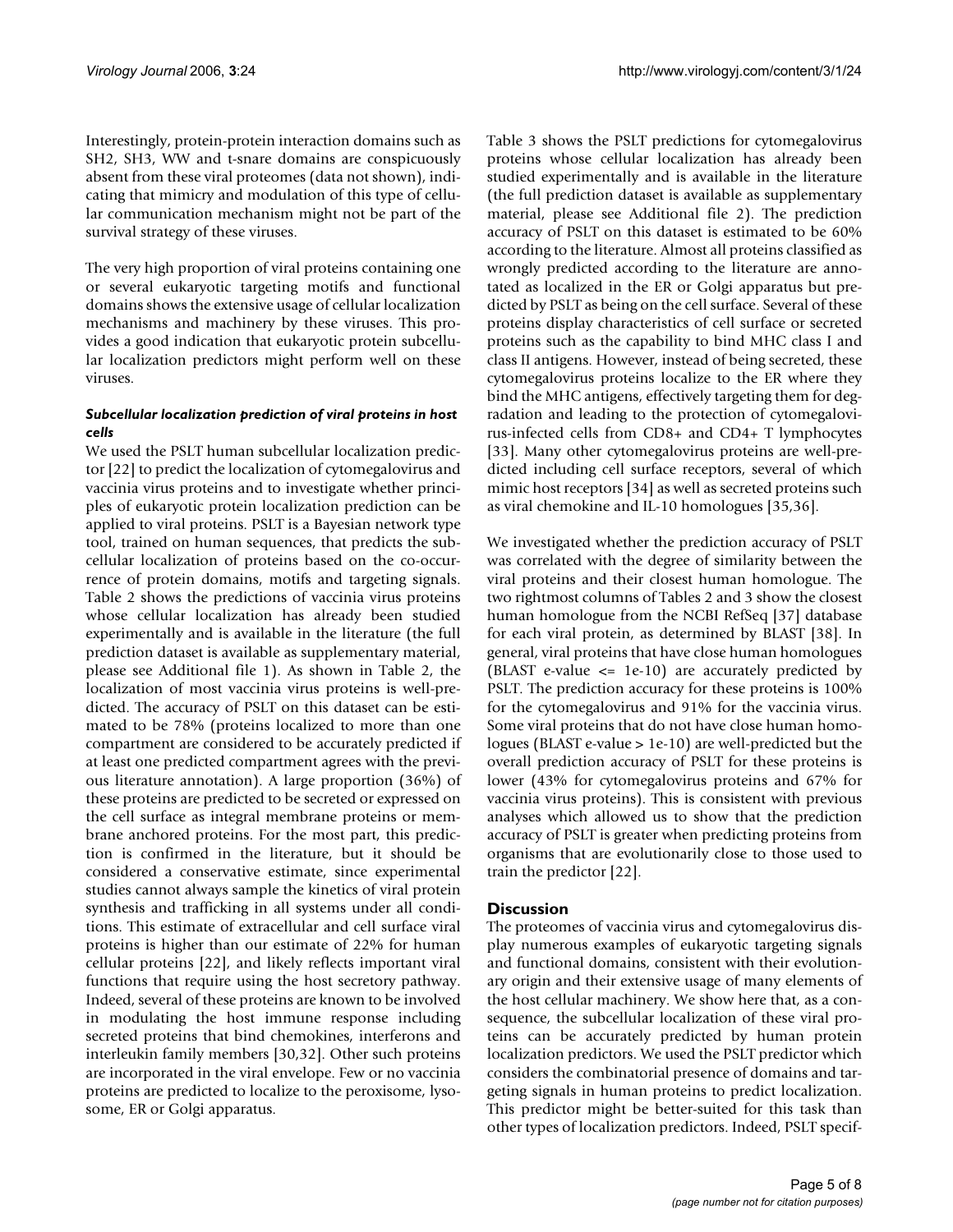Interestingly, protein-protein interaction domains such as SH2, SH3, WW and t-snare domains are conspicuously absent from these viral proteomes (data not shown), indicating that mimicry and modulation of this type of cellular communication mechanism might not be part of the survival strategy of these viruses.

The very high proportion of viral proteins containing one or several eukaryotic targeting motifs and functional domains shows the extensive usage of cellular localization mechanisms and machinery by these viruses. This provides a good indication that eukaryotic protein subcellular localization predictors might perform well on these viruses.

### *Subcellular localization prediction of viral proteins in host cells*

We used the PSLT human subcellular localization predictor [22] to predict the localization of cytomegalovirus and vaccinia virus proteins and to investigate whether principles of eukaryotic protein localization prediction can be applied to viral proteins. PSLT is a Bayesian network type tool, trained on human sequences, that predicts the subcellular localization of proteins based on the co-occurrence of protein domains, motifs and targeting signals. Table 2 shows the predictions of vaccinia virus proteins whose cellular localization has already been studied experimentally and is available in the literature (the full prediction dataset is available as supplementary material, please see Additional file 1). As shown in Table 2, the localization of most vaccinia virus proteins is well-predicted. The accuracy of PSLT on this dataset can be estimated to be 78% (proteins localized to more than one compartment are considered to be accurately predicted if at least one predicted compartment agrees with the previous literature annotation). A large proportion (36%) of these proteins are predicted to be secreted or expressed on the cell surface as integral membrane proteins or membrane anchored proteins. For the most part, this prediction is confirmed in the literature, but it should be considered a conservative estimate, since experimental studies cannot always sample the kinetics of viral protein synthesis and trafficking in all systems under all conditions. This estimate of extracellular and cell surface viral proteins is higher than our estimate of 22% for human cellular proteins [22], and likely reflects important viral functions that require using the host secretory pathway. Indeed, several of these proteins are known to be involved in modulating the host immune response including secreted proteins that bind chemokines, interferons and interleukin family members [30,32]. Other such proteins are incorporated in the viral envelope. Few or no vaccinia proteins are predicted to localize to the peroxisome, lysosome, ER or Golgi apparatus.

Table 3 shows the PSLT predictions for cytomegalovirus proteins whose cellular localization has already been studied experimentally and is available in the literature (the full prediction dataset is available as supplementary material, please see Additional file 2). The prediction accuracy of PSLT on this dataset is estimated to be 60% according to the literature. Almost all proteins classified as wrongly predicted according to the literature are annotated as localized in the ER or Golgi apparatus but predicted by PSLT as being on the cell surface. Several of these proteins display characteristics of cell surface or secreted proteins such as the capability to bind MHC class I and class II antigens. However, instead of being secreted, these cytomegalovirus proteins localize to the ER where they bind the MHC antigens, effectively targeting them for degradation and leading to the protection of cytomegalovirus-infected cells from CD8+ and CD4+ T lymphocytes [33]. Many other cytomegalovirus proteins are well-predicted including cell surface receptors, several of which mimic host receptors [34] as well as secreted proteins such as viral chemokine and IL-10 homologues [35,36].

We investigated whether the prediction accuracy of PSLT was correlated with the degree of similarity between the viral proteins and their closest human homologue. The two rightmost columns of Tables 2 and 3 show the closest human homologue from the NCBI RefSeq [37] database for each viral protein, as determined by BLAST [38]. In general, viral proteins that have close human homologues (BLAST e-value  $\leq$  1e-10) are accurately predicted by PSLT. The prediction accuracy for these proteins is 100% for the cytomegalovirus and 91% for the vaccinia virus. Some viral proteins that do not have close human homologues (BLAST e-value > 1e-10) are well-predicted but the overall prediction accuracy of PSLT for these proteins is lower (43% for cytomegalovirus proteins and 67% for vaccinia virus proteins). This is consistent with previous analyses which allowed us to show that the prediction accuracy of PSLT is greater when predicting proteins from organisms that are evolutionarily close to those used to train the predictor [22].

### **Discussion**

The proteomes of vaccinia virus and cytomegalovirus display numerous examples of eukaryotic targeting signals and functional domains, consistent with their evolutionary origin and their extensive usage of many elements of the host cellular machinery. We show here that, as a consequence, the subcellular localization of these viral proteins can be accurately predicted by human protein localization predictors. We used the PSLT predictor which considers the combinatorial presence of domains and targeting signals in human proteins to predict localization. This predictor might be better-suited for this task than other types of localization predictors. Indeed, PSLT specif-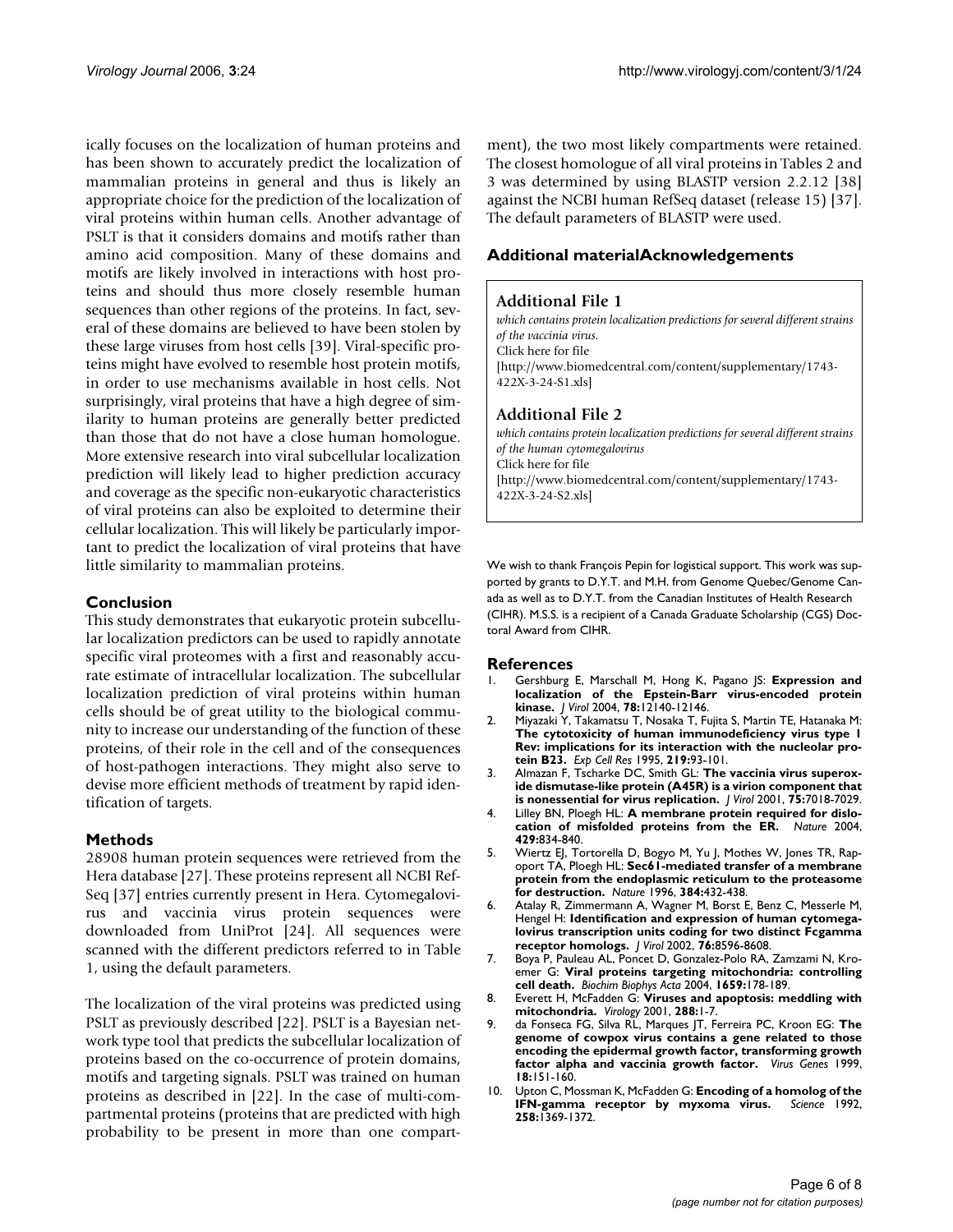ically focuses on the localization of human proteins and has been shown to accurately predict the localization of mammalian proteins in general and thus is likely an appropriate choice for the prediction of the localization of viral proteins within human cells. Another advantage of PSLT is that it considers domains and motifs rather than amino acid composition. Many of these domains and motifs are likely involved in interactions with host proteins and should thus more closely resemble human sequences than other regions of the proteins. In fact, several of these domains are believed to have been stolen by these large viruses from host cells [39]. Viral-specific proteins might have evolved to resemble host protein motifs, in order to use mechanisms available in host cells. Not surprisingly, viral proteins that have a high degree of similarity to human proteins are generally better predicted than those that do not have a close human homologue. More extensive research into viral subcellular localization prediction will likely lead to higher prediction accuracy and coverage as the specific non-eukaryotic characteristics of viral proteins can also be exploited to determine their cellular localization. This will likely be particularly important to predict the localization of viral proteins that have little similarity to mammalian proteins.

## **Conclusion**

This study demonstrates that eukaryotic protein subcellular localization predictors can be used to rapidly annotate specific viral proteomes with a first and reasonably accurate estimate of intracellular localization. The subcellular localization prediction of viral proteins within human cells should be of great utility to the biological community to increase our understanding of the function of these proteins, of their role in the cell and of the consequences of host-pathogen interactions. They might also serve to devise more efficient methods of treatment by rapid identification of targets.

### **Methods**

28908 human protein sequences were retrieved from the Hera database [27]. These proteins represent all NCBI Ref-Seq [37] entries currently present in Hera. Cytomegalovirus and vaccinia virus protein sequences were downloaded from UniProt [24]. All sequences were scanned with the different predictors referred to in Table 1, using the default parameters.

The localization of the viral proteins was predicted using PSLT as previously described [22]. PSLT is a Bayesian network type tool that predicts the subcellular localization of proteins based on the co-occurrence of protein domains, motifs and targeting signals. PSLT was trained on human proteins as described in [22]. In the case of multi-compartmental proteins (proteins that are predicted with high probability to be present in more than one compartment), the two most likely compartments were retained. The closest homologue of all viral proteins in Tables 2 and 3 was determined by using BLASTP version 2.2.12 [38] against the NCBI human RefSeq dataset (release 15) [37]. The default parameters of BLASTP were used.

## **Additional materialAcknowledgements**

#### **Additional File 1**

*which contains protein localization predictions for several different strains of the vaccinia virus.* Click here for file [\[http://www.biomedcentral.com/content/supplementary/1743-](http://www.biomedcentral.com/content/supplementary/1743-422X-3-24-S1.xls) 422X-3-24-S1.xls]

### **Additional File 2**

*which contains protein localization predictions for several different strains of the human cytomegalovirus* Click here for file [\[http://www.biomedcentral.com/content/supplementary/1743-](http://www.biomedcentral.com/content/supplementary/1743-422X-3-24-S2.xls) 422X-3-24-S2.xls]

We wish to thank François Pepin for logistical support. This work was supported by grants to D.Y.T. and M.H. from Genome Quebec/Genome Canada as well as to D.Y.T. from the Canadian Institutes of Health Research (CIHR). M.S.S. is a recipient of a Canada Graduate Scholarship (CGS) Doctoral Award from CIHR.

#### **References**

- 1. Gershburg E, Marschall M, Hong K, Pagano JS: **[Expression and](http://www.ncbi.nlm.nih.gov/entrez/query.fcgi?cmd=Retrieve&db=PubMed&dopt=Abstract&list_uids=15507600) [localization of the Epstein-Barr virus-encoded protein](http://www.ncbi.nlm.nih.gov/entrez/query.fcgi?cmd=Retrieve&db=PubMed&dopt=Abstract&list_uids=15507600) [kinase.](http://www.ncbi.nlm.nih.gov/entrez/query.fcgi?cmd=Retrieve&db=PubMed&dopt=Abstract&list_uids=15507600)** *J Virol* 2004, **78:**12140-12146.
- 2. Miyazaki Y, Takamatsu T, Nosaka T, Fujita S, Martin TE, Hatanaka M: **The cytotoxicity of human immunodeficiency virus type 1 [Rev: implications for its interaction with the nucleolar pro](http://www.ncbi.nlm.nih.gov/entrez/query.fcgi?cmd=Retrieve&db=PubMed&dopt=Abstract&list_uids=7628555)[tein B23.](http://www.ncbi.nlm.nih.gov/entrez/query.fcgi?cmd=Retrieve&db=PubMed&dopt=Abstract&list_uids=7628555)** *Exp Cell Res* 1995, **219:**93-101.
- 3. Almazan F, Tscharke DC, Smith GL: **[The vaccinia virus superox](http://www.ncbi.nlm.nih.gov/entrez/query.fcgi?cmd=Retrieve&db=PubMed&dopt=Abstract&list_uids=11435582)[ide dismutase-like protein \(A45R\) is a virion component that](http://www.ncbi.nlm.nih.gov/entrez/query.fcgi?cmd=Retrieve&db=PubMed&dopt=Abstract&list_uids=11435582) [is nonessential for virus replication.](http://www.ncbi.nlm.nih.gov/entrez/query.fcgi?cmd=Retrieve&db=PubMed&dopt=Abstract&list_uids=11435582)** *J Virol* 2001, **75:**7018-7029.
- 4. Lilley BN, Ploegh HL: **[A membrane protein required for dislo](http://www.ncbi.nlm.nih.gov/entrez/query.fcgi?cmd=Retrieve&db=PubMed&dopt=Abstract&list_uids=15215855)[cation of misfolded proteins from the ER.](http://www.ncbi.nlm.nih.gov/entrez/query.fcgi?cmd=Retrieve&db=PubMed&dopt=Abstract&list_uids=15215855)** *Nature* 2004, **429:**834-840.
- 5. Wiertz EJ, Tortorella D, Bogyo M, Yu J, Mothes W, Jones TR, Rapoport TA, Ploegh HL: **[Sec61-mediated transfer of a membrane](http://www.ncbi.nlm.nih.gov/entrez/query.fcgi?cmd=Retrieve&db=PubMed&dopt=Abstract&list_uids=8945469) [protein from the endoplasmic reticulum to the proteasome](http://www.ncbi.nlm.nih.gov/entrez/query.fcgi?cmd=Retrieve&db=PubMed&dopt=Abstract&list_uids=8945469) [for destruction.](http://www.ncbi.nlm.nih.gov/entrez/query.fcgi?cmd=Retrieve&db=PubMed&dopt=Abstract&list_uids=8945469)** *Nature* 1996, **384:**432-438.
- 6. Atalay R, Zimmermann A, Wagner M, Borst E, Benz C, Messerle M, Hengel H: **[Identification and expression of human cytomega](http://www.ncbi.nlm.nih.gov/entrez/query.fcgi?cmd=Retrieve&db=PubMed&dopt=Abstract&list_uids=12163579)[lovirus transcription units coding for two distinct Fcgamma](http://www.ncbi.nlm.nih.gov/entrez/query.fcgi?cmd=Retrieve&db=PubMed&dopt=Abstract&list_uids=12163579) [receptor homologs.](http://www.ncbi.nlm.nih.gov/entrez/query.fcgi?cmd=Retrieve&db=PubMed&dopt=Abstract&list_uids=12163579)** *J Virol* 2002, **76:**8596-8608.
- 7. Boya P, Pauleau AL, Poncet D, Gonzalez-Polo RA, Zamzami N, Kroemer G: **[Viral proteins targeting mitochondria: controlling](http://www.ncbi.nlm.nih.gov/entrez/query.fcgi?cmd=Retrieve&db=PubMed&dopt=Abstract&list_uids=15576050) [cell death.](http://www.ncbi.nlm.nih.gov/entrez/query.fcgi?cmd=Retrieve&db=PubMed&dopt=Abstract&list_uids=15576050)** *Biochim Biophys Acta* 2004, **1659:**178-189.
- 8. Everett H, McFadden G: **[Viruses and apoptosis: meddling with](http://www.ncbi.nlm.nih.gov/entrez/query.fcgi?cmd=Retrieve&db=PubMed&dopt=Abstract&list_uids=11543652) [mitochondria.](http://www.ncbi.nlm.nih.gov/entrez/query.fcgi?cmd=Retrieve&db=PubMed&dopt=Abstract&list_uids=11543652)** *Virology* 2001, **288:**1-7.
- 9. da Fonseca FG, Silva RL, Marques JT, Ferreira PC, Kroon EG: **[The](http://www.ncbi.nlm.nih.gov/entrez/query.fcgi?cmd=Retrieve&db=PubMed&dopt=Abstract&list_uids=10403701) genome of cowpox virus contains a gene related to those [encoding the epidermal growth factor, transforming growth](http://www.ncbi.nlm.nih.gov/entrez/query.fcgi?cmd=Retrieve&db=PubMed&dopt=Abstract&list_uids=10403701) [factor alpha and vaccinia growth factor.](http://www.ncbi.nlm.nih.gov/entrez/query.fcgi?cmd=Retrieve&db=PubMed&dopt=Abstract&list_uids=10403701)** *Virus Genes* 1999, **18:**151-160.
- 10. Upton C, Mossman K, McFadden G: **[Encoding of a homolog of the](http://www.ncbi.nlm.nih.gov/entrez/query.fcgi?cmd=Retrieve&db=PubMed&dopt=Abstract&list_uids=1455233) [IFN-gamma receptor by myxoma virus.](http://www.ncbi.nlm.nih.gov/entrez/query.fcgi?cmd=Retrieve&db=PubMed&dopt=Abstract&list_uids=1455233) 258:**1369-1372.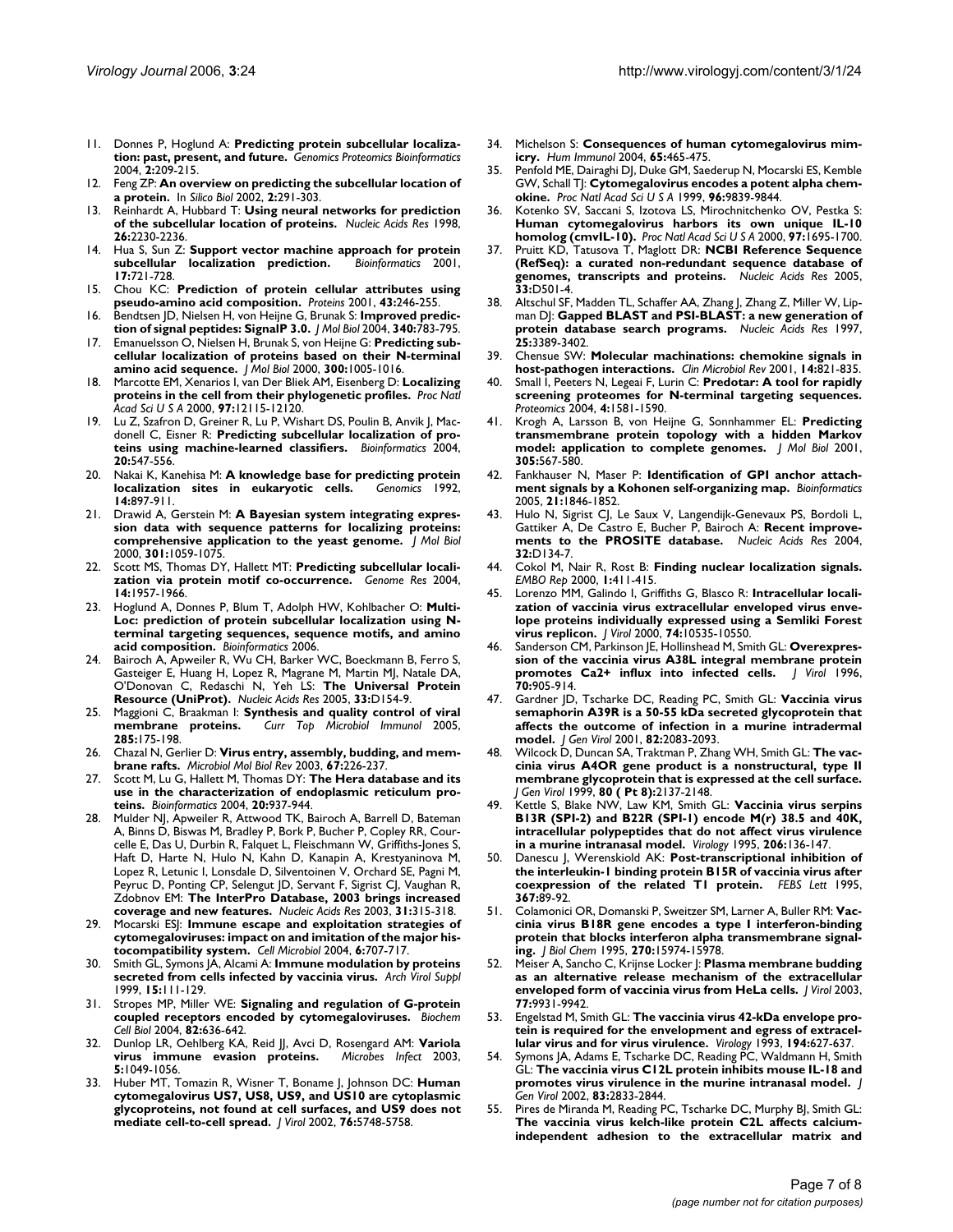- 11. Donnes P, Hoglund A: **[Predicting protein subcellular localiza](http://www.ncbi.nlm.nih.gov/entrez/query.fcgi?cmd=Retrieve&db=PubMed&dopt=Abstract&list_uids=15901249)[tion: past, present, and future.](http://www.ncbi.nlm.nih.gov/entrez/query.fcgi?cmd=Retrieve&db=PubMed&dopt=Abstract&list_uids=15901249)** *Genomics Proteomics Bioinformatics* 2004, **2:**209-215.
- 12. Feng ZP: **[An overview on predicting the subcellular location of](http://www.ncbi.nlm.nih.gov/entrez/query.fcgi?cmd=Retrieve&db=PubMed&dopt=Abstract&list_uids=12542414) [a protein.](http://www.ncbi.nlm.nih.gov/entrez/query.fcgi?cmd=Retrieve&db=PubMed&dopt=Abstract&list_uids=12542414)** In *Silico Biol* 2002, **2:**291-303.
- 13. Reinhardt A, Hubbard T: **[Using neural networks for prediction](http://www.ncbi.nlm.nih.gov/entrez/query.fcgi?cmd=Retrieve&db=PubMed&dopt=Abstract&list_uids=9547285) [of the subcellular location of proteins.](http://www.ncbi.nlm.nih.gov/entrez/query.fcgi?cmd=Retrieve&db=PubMed&dopt=Abstract&list_uids=9547285)** *Nucleic Acids Res* 1998, **26:**2230-2236.
- 14. Hua S, Sun Z: **[Support vector machine approach for protein](http://www.ncbi.nlm.nih.gov/entrez/query.fcgi?cmd=Retrieve&db=PubMed&dopt=Abstract&list_uids=11524373)** [subcellular localization prediction.](http://www.ncbi.nlm.nih.gov/entrez/query.fcgi?cmd=Retrieve&db=PubMed&dopt=Abstract&list_uids=11524373) **17:**721-728.
- 15. Chou KC: **[Prediction of protein cellular attributes using](http://www.ncbi.nlm.nih.gov/entrez/query.fcgi?cmd=Retrieve&db=PubMed&dopt=Abstract&list_uids=11288174) [pseudo-amino acid composition.](http://www.ncbi.nlm.nih.gov/entrez/query.fcgi?cmd=Retrieve&db=PubMed&dopt=Abstract&list_uids=11288174)** *Proteins* 2001, **43:**246-255.
- 16. Bendtsen JD, Nielsen H, von Heijne G, Brunak S: **[Improved predic](http://www.ncbi.nlm.nih.gov/entrez/query.fcgi?cmd=Retrieve&db=PubMed&dopt=Abstract&list_uids=15223320)[tion of signal peptides: SignalP 3.0.](http://www.ncbi.nlm.nih.gov/entrez/query.fcgi?cmd=Retrieve&db=PubMed&dopt=Abstract&list_uids=15223320)** *J Mol Biol* 2004, **340:**783-795.
- 17. Emanuelsson O, Nielsen H, Brunak S, von Heijne G: **[Predicting sub](http://www.ncbi.nlm.nih.gov/entrez/query.fcgi?cmd=Retrieve&db=PubMed&dopt=Abstract&list_uids=10891285)[cellular localization of proteins based on their N-terminal](http://www.ncbi.nlm.nih.gov/entrez/query.fcgi?cmd=Retrieve&db=PubMed&dopt=Abstract&list_uids=10891285) [amino acid sequence.](http://www.ncbi.nlm.nih.gov/entrez/query.fcgi?cmd=Retrieve&db=PubMed&dopt=Abstract&list_uids=10891285)** *J Mol Biol* 2000, **300:**1005-1016.
- 18. Marcotte EM, Xenarios I, van Der Bliek AM, Eisenberg D: **[Localizing](http://www.ncbi.nlm.nih.gov/entrez/query.fcgi?cmd=Retrieve&db=PubMed&dopt=Abstract&list_uids=11035803) [proteins in the cell from their phylogenetic profiles.](http://www.ncbi.nlm.nih.gov/entrez/query.fcgi?cmd=Retrieve&db=PubMed&dopt=Abstract&list_uids=11035803)** *Proc Natl Acad Sci U S A* 2000, **97:**12115-12120.
- 19. Lu Z, Szafron D, Greiner R, Lu P, Wishart DS, Poulin B, Anvik J, Macdonell C, Eisner R: **[Predicting subcellular localization of pro](http://www.ncbi.nlm.nih.gov/entrez/query.fcgi?cmd=Retrieve&db=PubMed&dopt=Abstract&list_uids=14990451)[teins using machine-learned classifiers.](http://www.ncbi.nlm.nih.gov/entrez/query.fcgi?cmd=Retrieve&db=PubMed&dopt=Abstract&list_uids=14990451)** *Bioinformatics* 2004, **20:**547-556.
- 20. Nakai K, Kanehisa M: **[A knowledge base for predicting protein](http://www.ncbi.nlm.nih.gov/entrez/query.fcgi?cmd=Retrieve&db=PubMed&dopt=Abstract&list_uids=1478671)**  $localization$  sites in eukaryotic cells. **14:**897-911.
- 21. Drawid A, Gerstein M: **[A Bayesian system integrating expres](http://www.ncbi.nlm.nih.gov/entrez/query.fcgi?cmd=Retrieve&db=PubMed&dopt=Abstract&list_uids=10966805)[sion data with sequence patterns for localizing proteins:](http://www.ncbi.nlm.nih.gov/entrez/query.fcgi?cmd=Retrieve&db=PubMed&dopt=Abstract&list_uids=10966805) [comprehensive application to the yeast genome.](http://www.ncbi.nlm.nih.gov/entrez/query.fcgi?cmd=Retrieve&db=PubMed&dopt=Abstract&list_uids=10966805)** *J Mol Biol* 2000, **301:**1059-1075.
- 22. Scott MS, Thomas DY, Hallett MT: **[Predicting subcellular locali](http://www.ncbi.nlm.nih.gov/entrez/query.fcgi?cmd=Retrieve&db=PubMed&dopt=Abstract&list_uids=15466294)[zation via protein motif co-occurrence.](http://www.ncbi.nlm.nih.gov/entrez/query.fcgi?cmd=Retrieve&db=PubMed&dopt=Abstract&list_uids=15466294)** *Genome Res* 2004, **14:**1957-1966.
- 23. Hoglund A, Donnes P, Blum T, Adolph HW, Kohlbacher O: **[Multi-](http://www.ncbi.nlm.nih.gov/entrez/query.fcgi?cmd=Retrieve&db=PubMed&dopt=Abstract&list_uids=16428265)Loc: prediction of protein subcellular localization using N[terminal targeting sequences, sequence motifs, and amino](http://www.ncbi.nlm.nih.gov/entrez/query.fcgi?cmd=Retrieve&db=PubMed&dopt=Abstract&list_uids=16428265) [acid composition.](http://www.ncbi.nlm.nih.gov/entrez/query.fcgi?cmd=Retrieve&db=PubMed&dopt=Abstract&list_uids=16428265)** *Bioinformatics* 2006.
- 24. Bairoch A, Apweiler R, Wu CH, Barker WC, Boeckmann B, Ferro S, Gasteiger E, Huang H, Lopez R, Magrane M, Martin MJ, Natale DA, O'Donovan C, Redaschi N, Yeh LS: **[The Universal Protein](http://www.ncbi.nlm.nih.gov/entrez/query.fcgi?cmd=Retrieve&db=PubMed&dopt=Abstract&list_uids=15608167) [Resource \(UniProt\).](http://www.ncbi.nlm.nih.gov/entrez/query.fcgi?cmd=Retrieve&db=PubMed&dopt=Abstract&list_uids=15608167)** *Nucleic Acids Res* 2005, **33:**D154-9.
- 25. Maggioni C, Braakman I: **[Synthesis and quality control of viral](http://www.ncbi.nlm.nih.gov/entrez/query.fcgi?cmd=Retrieve&db=PubMed&dopt=Abstract&list_uids=15609504) [membrane proteins.](http://www.ncbi.nlm.nih.gov/entrez/query.fcgi?cmd=Retrieve&db=PubMed&dopt=Abstract&list_uids=15609504)** *Curr Top Microbiol Immunol* 2005, **285:**175-198.
- 26. Chazal N, Gerlier D: **[Virus entry, assembly, budding, and mem](http://www.ncbi.nlm.nih.gov/entrez/query.fcgi?cmd=Retrieve&db=PubMed&dopt=Abstract&list_uids=12794191)[brane rafts.](http://www.ncbi.nlm.nih.gov/entrez/query.fcgi?cmd=Retrieve&db=PubMed&dopt=Abstract&list_uids=12794191)** *Microbiol Mol Biol Rev* 2003, **67:**226-237.
- 27. Scott M, Lu G, Hallett M, Thomas DY: **[The Hera database and its](http://www.ncbi.nlm.nih.gov/entrez/query.fcgi?cmd=Retrieve&db=PubMed&dopt=Abstract&list_uids=14751973) [use in the characterization of endoplasmic reticulum pro](http://www.ncbi.nlm.nih.gov/entrez/query.fcgi?cmd=Retrieve&db=PubMed&dopt=Abstract&list_uids=14751973)[teins.](http://www.ncbi.nlm.nih.gov/entrez/query.fcgi?cmd=Retrieve&db=PubMed&dopt=Abstract&list_uids=14751973)** *Bioinformatics* 2004, **20:**937-944.
- 28. Mulder NJ, Apweiler R, Attwood TK, Bairoch A, Barrell D, Bateman A, Binns D, Biswas M, Bradley P, Bork P, Bucher P, Copley RR, Courcelle E, Das U, Durbin R, Falquet L, Fleischmann W, Griffiths-Jones S, Haft D, Harte N, Hulo N, Kahn D, Kanapin A, Krestyaninova M, Lopez R, Letunic I, Lonsdale D, Silventoinen V, Orchard SE, Pagni M, Peyruc D, Ponting CP, Selengut JD, Servant F, Sigrist CJ, Vaughan R, Zdobnov EM: **[The InterPro Database, 2003 brings increased](http://www.ncbi.nlm.nih.gov/entrez/query.fcgi?cmd=Retrieve&db=PubMed&dopt=Abstract&list_uids=12520011) [coverage and new features.](http://www.ncbi.nlm.nih.gov/entrez/query.fcgi?cmd=Retrieve&db=PubMed&dopt=Abstract&list_uids=12520011)** *Nucleic Acids Res* 2003, **31:**315-318.
- 29. Mocarski ESJ: **[Immune escape and exploitation strategies of](http://www.ncbi.nlm.nih.gov/entrez/query.fcgi?cmd=Retrieve&db=PubMed&dopt=Abstract&list_uids=15236638) [cytomegaloviruses: impact on and imitation of the major his](http://www.ncbi.nlm.nih.gov/entrez/query.fcgi?cmd=Retrieve&db=PubMed&dopt=Abstract&list_uids=15236638)[tocompatibility system.](http://www.ncbi.nlm.nih.gov/entrez/query.fcgi?cmd=Retrieve&db=PubMed&dopt=Abstract&list_uids=15236638)** *Cell Microbiol* 2004, **6:**707-717.
- 30. Smith GL, Symons JA, Alcami A: **[Immune modulation by proteins](http://www.ncbi.nlm.nih.gov/entrez/query.fcgi?cmd=Retrieve&db=PubMed&dopt=Abstract&list_uids=10470273) [secreted from cells infected by vaccinia virus.](http://www.ncbi.nlm.nih.gov/entrez/query.fcgi?cmd=Retrieve&db=PubMed&dopt=Abstract&list_uids=10470273)** *Arch Virol Suppl* 1999, **15:**111-129.
- 31. Stropes MP, Miller WE: **[Signaling and regulation of G-protein](http://www.ncbi.nlm.nih.gov/entrez/query.fcgi?cmd=Retrieve&db=PubMed&dopt=Abstract&list_uids=15674431) [coupled receptors encoded by cytomegaloviruses.](http://www.ncbi.nlm.nih.gov/entrez/query.fcgi?cmd=Retrieve&db=PubMed&dopt=Abstract&list_uids=15674431)** *Biochem Cell Biol* 2004, **82:**636-642.
- 32. Dunlop LR, Oehlberg KA, Reid JJ, Avci D, Rosengard AM: **[Variola](http://www.ncbi.nlm.nih.gov/entrez/query.fcgi?cmd=Retrieve&db=PubMed&dopt=Abstract&list_uids=12941397) [virus immune evasion proteins.](http://www.ncbi.nlm.nih.gov/entrez/query.fcgi?cmd=Retrieve&db=PubMed&dopt=Abstract&list_uids=12941397)** *Microbes Infect* 2003, **5:**1049-1056.
- 33. Huber MT, Tomazin R, Wisner T, Boname J, Johnson DC: **[Human](http://www.ncbi.nlm.nih.gov/entrez/query.fcgi?cmd=Retrieve&db=PubMed&dopt=Abstract&list_uids=11992003) cytomegalovirus US7, US8, US9, and US10 are cytoplasmic [glycoproteins, not found at cell surfaces, and US9 does not](http://www.ncbi.nlm.nih.gov/entrez/query.fcgi?cmd=Retrieve&db=PubMed&dopt=Abstract&list_uids=11992003) [mediate cell-to-cell spread.](http://www.ncbi.nlm.nih.gov/entrez/query.fcgi?cmd=Retrieve&db=PubMed&dopt=Abstract&list_uids=11992003)** *J Virol* 2002, **76:**5748-5758.
- 34. Michelson S: **[Consequences of human cytomegalovirus mim](http://www.ncbi.nlm.nih.gov/entrez/query.fcgi?cmd=Retrieve&db=PubMed&dopt=Abstract&list_uids=15172446)[icry.](http://www.ncbi.nlm.nih.gov/entrez/query.fcgi?cmd=Retrieve&db=PubMed&dopt=Abstract&list_uids=15172446)** *Hum Immunol* 2004, **65:**465-475.
- 35. Penfold ME, Dairaghi DJ, Duke GM, Saederup N, Mocarski ES, Kemble GW, Schall TJ: **[Cytomegalovirus encodes a potent alpha chem](http://www.ncbi.nlm.nih.gov/entrez/query.fcgi?cmd=Retrieve&db=PubMed&dopt=Abstract&list_uids=10449781)[okine.](http://www.ncbi.nlm.nih.gov/entrez/query.fcgi?cmd=Retrieve&db=PubMed&dopt=Abstract&list_uids=10449781)** *Proc Natl Acad Sci U S A* 1999, **96:**9839-9844.
- 36. Kotenko SV, Saccani S, Izotova LS, Mirochnitchenko OV, Pestka S: **[Human cytomegalovirus harbors its own unique IL-10](http://www.ncbi.nlm.nih.gov/entrez/query.fcgi?cmd=Retrieve&db=PubMed&dopt=Abstract&list_uids=10677520) [homolog \(cmvIL-10\).](http://www.ncbi.nlm.nih.gov/entrez/query.fcgi?cmd=Retrieve&db=PubMed&dopt=Abstract&list_uids=10677520)** *Proc Natl Acad Sci U S A* 2000, **97:**1695-1700.
- 37. Pruitt KD, Tatusova T, Maglott DR: **[NCBI Reference Sequence](http://www.ncbi.nlm.nih.gov/entrez/query.fcgi?cmd=Retrieve&db=PubMed&dopt=Abstract&list_uids=15608248) [\(RefSeq\): a curated non-redundant sequence database of](http://www.ncbi.nlm.nih.gov/entrez/query.fcgi?cmd=Retrieve&db=PubMed&dopt=Abstract&list_uids=15608248) [genomes, transcripts and proteins.](http://www.ncbi.nlm.nih.gov/entrez/query.fcgi?cmd=Retrieve&db=PubMed&dopt=Abstract&list_uids=15608248)** *Nucleic Acids Res* 2005, **33:**D501-4.
- 38. Altschul SF, Madden TL, Schaffer AA, Zhang J, Zhang Z, Miller W, Lipman DJ: **[Gapped BLAST and PSI-BLAST: a new generation of](http://www.ncbi.nlm.nih.gov/entrez/query.fcgi?cmd=Retrieve&db=PubMed&dopt=Abstract&list_uids=9254694) [protein database search programs.](http://www.ncbi.nlm.nih.gov/entrez/query.fcgi?cmd=Retrieve&db=PubMed&dopt=Abstract&list_uids=9254694)** *Nucleic Acids Res* 1997, **25:**3389-3402.
- 39. Chensue SW: **[Molecular machinations: chemokine signals in](http://www.ncbi.nlm.nih.gov/entrez/query.fcgi?cmd=Retrieve&db=PubMed&dopt=Abstract&list_uids=11585787) [host-pathogen interactions.](http://www.ncbi.nlm.nih.gov/entrez/query.fcgi?cmd=Retrieve&db=PubMed&dopt=Abstract&list_uids=11585787)** *Clin Microbiol Rev* 2001, **14:**821-835.
- 40. Small I, Peeters N, Legeai F, Lurin C: **[Predotar: A tool for rapidly](http://www.ncbi.nlm.nih.gov/entrez/query.fcgi?cmd=Retrieve&db=PubMed&dopt=Abstract&list_uids=15174128) [screening proteomes for N-terminal targeting sequences.](http://www.ncbi.nlm.nih.gov/entrez/query.fcgi?cmd=Retrieve&db=PubMed&dopt=Abstract&list_uids=15174128)** *Proteomics* 2004, **4:**1581-1590.
- 41. Krogh A, Larsson B, von Heijne G, Sonnhammer EL: **[Predicting](http://www.ncbi.nlm.nih.gov/entrez/query.fcgi?cmd=Retrieve&db=PubMed&dopt=Abstract&list_uids=11152613) [transmembrane protein topology with a hidden Markov](http://www.ncbi.nlm.nih.gov/entrez/query.fcgi?cmd=Retrieve&db=PubMed&dopt=Abstract&list_uids=11152613) [model: application to complete genomes.](http://www.ncbi.nlm.nih.gov/entrez/query.fcgi?cmd=Retrieve&db=PubMed&dopt=Abstract&list_uids=11152613)** *J Mol Biol* 2001, **305:**567-580.
- 42. Fankhauser N, Maser P: **[Identification of GPI anchor attach](http://www.ncbi.nlm.nih.gov/entrez/query.fcgi?cmd=Retrieve&db=PubMed&dopt=Abstract&list_uids=15691858)[ment signals by a Kohonen self-organizing map.](http://www.ncbi.nlm.nih.gov/entrez/query.fcgi?cmd=Retrieve&db=PubMed&dopt=Abstract&list_uids=15691858)** *Bioinformatics* 2005, **21:**1846-1852.
- 43. Hulo N, Sigrist CJ, Le Saux V, Langendijk-Genevaux PS, Bordoli L, Gattiker A, De Castro E, Bucher P, Bairoch A: **[Recent improve](http://www.ncbi.nlm.nih.gov/entrez/query.fcgi?cmd=Retrieve&db=PubMed&dopt=Abstract&list_uids=14681377)[ments to the PROSITE database.](http://www.ncbi.nlm.nih.gov/entrez/query.fcgi?cmd=Retrieve&db=PubMed&dopt=Abstract&list_uids=14681377)** *Nucleic Acids Res* 2004, **32:**D134-7.
- 44. Cokol M, Nair R, Rost B: **[Finding nuclear localization signals.](http://www.ncbi.nlm.nih.gov/entrez/query.fcgi?cmd=Retrieve&db=PubMed&dopt=Abstract&list_uids=11258480)** *EMBO Rep* 2000, **1:**411-415.
- 45. Lorenzo MM, Galindo I, Griffiths G, Blasco R: **[Intracellular locali](http://www.ncbi.nlm.nih.gov/entrez/query.fcgi?cmd=Retrieve&db=PubMed&dopt=Abstract&list_uids=11044098)zation of vaccinia virus extracellular enveloped virus enve[lope proteins individually expressed using a Semliki Forest](http://www.ncbi.nlm.nih.gov/entrez/query.fcgi?cmd=Retrieve&db=PubMed&dopt=Abstract&list_uids=11044098) [virus replicon.](http://www.ncbi.nlm.nih.gov/entrez/query.fcgi?cmd=Retrieve&db=PubMed&dopt=Abstract&list_uids=11044098)** *J Virol* 2000, **74:**10535-10550.
- 46. Sanderson CM, Parkinson JE, Hollinshead M, Smith GL: **[Overexpres](http://www.ncbi.nlm.nih.gov/entrez/query.fcgi?cmd=Retrieve&db=PubMed&dopt=Abstract&list_uids=8551630)[sion of the vaccinia virus A38L integral membrane protein](http://www.ncbi.nlm.nih.gov/entrez/query.fcgi?cmd=Retrieve&db=PubMed&dopt=Abstract&list_uids=8551630) [promotes Ca2+ influx into infected cells.](http://www.ncbi.nlm.nih.gov/entrez/query.fcgi?cmd=Retrieve&db=PubMed&dopt=Abstract&list_uids=8551630)** *J Virol* 1996, **70:**905-914.
- 47. Gardner JD, Tscharke DC, Reading PC, Smith GL: **[Vaccinia virus](http://www.ncbi.nlm.nih.gov/entrez/query.fcgi?cmd=Retrieve&db=PubMed&dopt=Abstract&list_uids=11514717) semaphorin A39R is a 50-55 kDa secreted glycoprotein that [affects the outcome of infection in a murine intradermal](http://www.ncbi.nlm.nih.gov/entrez/query.fcgi?cmd=Retrieve&db=PubMed&dopt=Abstract&list_uids=11514717) [model.](http://www.ncbi.nlm.nih.gov/entrez/query.fcgi?cmd=Retrieve&db=PubMed&dopt=Abstract&list_uids=11514717)** *J Gen Virol* 2001, **82:**2083-2093.
- 48. Wilcock D, Duncan SA, Traktman P, Zhang WH, Smith GL: **[The vac](http://www.ncbi.nlm.nih.gov/entrez/query.fcgi?cmd=Retrieve&db=PubMed&dopt=Abstract&list_uids=10466813)cinia virus A4OR gene product is a nonstructural, type II [membrane glycoprotein that is expressed at the cell surface.](http://www.ncbi.nlm.nih.gov/entrez/query.fcgi?cmd=Retrieve&db=PubMed&dopt=Abstract&list_uids=10466813)** *J Gen Virol* 1999, **80 ( Pt 8):**2137-2148.
- 49. Kettle S, Blake NW, Law KM, Smith GL: **[Vaccinia virus serpins](http://www.ncbi.nlm.nih.gov/entrez/query.fcgi?cmd=Retrieve&db=PubMed&dopt=Abstract&list_uids=7831769) B13R (SPI-2) and B22R (SPI-1) encode M(r) 38.5 and 40K, [intracellular polypeptides that do not affect virus virulence](http://www.ncbi.nlm.nih.gov/entrez/query.fcgi?cmd=Retrieve&db=PubMed&dopt=Abstract&list_uids=7831769) [in a murine intranasal model.](http://www.ncbi.nlm.nih.gov/entrez/query.fcgi?cmd=Retrieve&db=PubMed&dopt=Abstract&list_uids=7831769)** *Virology* 1995, **206:**136-147.
- 50. Danescu J, Werenskiold AK: **[Post-transcriptional inhibition of](http://www.ncbi.nlm.nih.gov/entrez/query.fcgi?cmd=Retrieve&db=PubMed&dopt=Abstract&list_uids=7601291) [the interleukin-1 binding protein B15R of vaccinia virus after](http://www.ncbi.nlm.nih.gov/entrez/query.fcgi?cmd=Retrieve&db=PubMed&dopt=Abstract&list_uids=7601291) [coexpression of the related T1 protein.](http://www.ncbi.nlm.nih.gov/entrez/query.fcgi?cmd=Retrieve&db=PubMed&dopt=Abstract&list_uids=7601291)** *FEBS Lett* 1995, **367:**89-92.
- 51. Colamonici OR, Domanski P, Sweitzer SM, Larner A, Buller RM: **[Vac](http://www.ncbi.nlm.nih.gov/entrez/query.fcgi?cmd=Retrieve&db=PubMed&dopt=Abstract&list_uids=7608155)cinia virus B18R gene encodes a type I interferon-binding [protein that blocks interferon alpha transmembrane signal](http://www.ncbi.nlm.nih.gov/entrez/query.fcgi?cmd=Retrieve&db=PubMed&dopt=Abstract&list_uids=7608155)[ing.](http://www.ncbi.nlm.nih.gov/entrez/query.fcgi?cmd=Retrieve&db=PubMed&dopt=Abstract&list_uids=7608155)** *J Biol Chem* 1995, **270:**15974-15978.
- 52. Meiser A, Sancho C, Krijnse Locker J: **[Plasma membrane budding](http://www.ncbi.nlm.nih.gov/entrez/query.fcgi?cmd=Retrieve&db=PubMed&dopt=Abstract&list_uids=12941903) [as an alternative release mechanism of the extracellular](http://www.ncbi.nlm.nih.gov/entrez/query.fcgi?cmd=Retrieve&db=PubMed&dopt=Abstract&list_uids=12941903) [enveloped form of vaccinia virus from HeLa cells.](http://www.ncbi.nlm.nih.gov/entrez/query.fcgi?cmd=Retrieve&db=PubMed&dopt=Abstract&list_uids=12941903)** *J Virol* 2003, **77:**9931-9942.
- 53. Engelstad M, Smith GL: **[The vaccinia virus 42-kDa envelope pro](http://www.ncbi.nlm.nih.gov/entrez/query.fcgi?cmd=Retrieve&db=PubMed&dopt=Abstract&list_uids=8503178)[tein is required for the envelopment and egress of extracel](http://www.ncbi.nlm.nih.gov/entrez/query.fcgi?cmd=Retrieve&db=PubMed&dopt=Abstract&list_uids=8503178)[lular virus and for virus virulence.](http://www.ncbi.nlm.nih.gov/entrez/query.fcgi?cmd=Retrieve&db=PubMed&dopt=Abstract&list_uids=8503178)** *Virology* 1993, **194:**627-637.
- 54. Symons JA, Adams E, Tscharke DC, Reading PC, Waldmann H, Smith GL: **[The vaccinia virus C12L protein inhibits mouse IL-18 and](http://www.ncbi.nlm.nih.gov/entrez/query.fcgi?cmd=Retrieve&db=PubMed&dopt=Abstract&list_uids=12388820) [promotes virus virulence in the murine intranasal model.](http://www.ncbi.nlm.nih.gov/entrez/query.fcgi?cmd=Retrieve&db=PubMed&dopt=Abstract&list_uids=12388820)** *J Gen Virol* 2002, **83:**2833-2844.
- 55. Pires de Miranda M, Reading PC, Tscharke DC, Murphy BJ, Smith GL: **[The vaccinia virus kelch-like protein C2L affects calcium](http://www.ncbi.nlm.nih.gov/entrez/query.fcgi?cmd=Retrieve&db=PubMed&dopt=Abstract&list_uids=12917467)[independent adhesion to the extracellular matrix and](http://www.ncbi.nlm.nih.gov/entrez/query.fcgi?cmd=Retrieve&db=PubMed&dopt=Abstract&list_uids=12917467)**